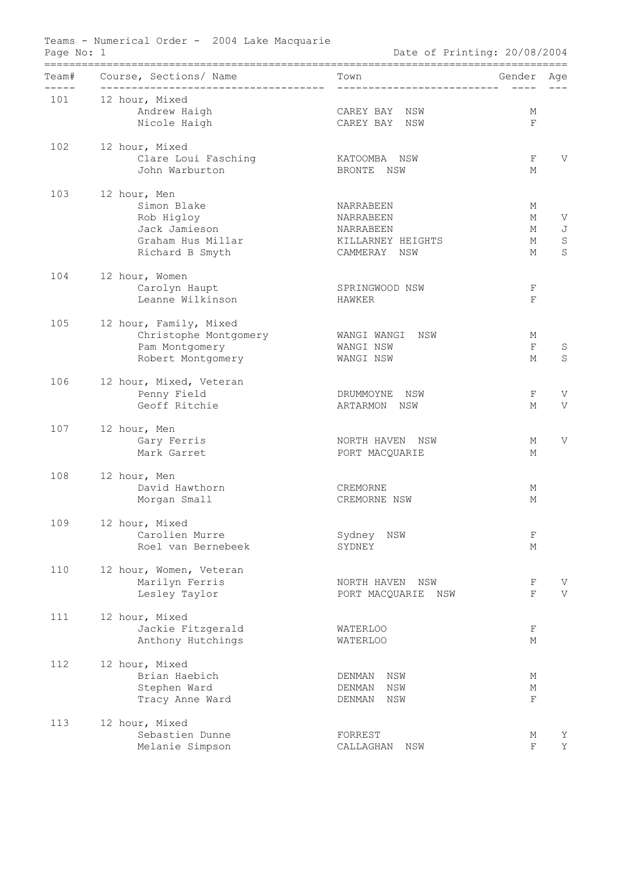| Teams - Numerical Order - 2004 Lake Macquarie<br>Page No: 1<br>Date of Printing: 20/08/2004 |                                                                                                    |                                                                          |                       |                            |
|---------------------------------------------------------------------------------------------|----------------------------------------------------------------------------------------------------|--------------------------------------------------------------------------|-----------------------|----------------------------|
| Team#<br>$- - - -$                                                                          | Course, Sections/ Name<br>--------------------------------------                                   | Town<br>_____________________________                                    | Gender                | Age                        |
| 101                                                                                         | 12 hour, Mixed<br>Andrew Haigh<br>Nicole Haigh                                                     | CAREY BAY NSW<br>CAREY BAY NSW                                           | М<br>$\mathbf F$      |                            |
| 102                                                                                         | 12 hour, Mixed<br>Clare Loui Fasching<br>John Warburton                                            | KATOOMBA NSW<br>BRONTE NSW                                               | F<br>М                | V                          |
| 103                                                                                         | 12 hour, Men<br>Simon Blake<br>Rob Higloy<br>Jack Jamieson<br>Graham Hus Millar<br>Richard B Smyth | NARRABEEN<br>NARRABEEN<br>NARRABEEN<br>KILLARNEY HEIGHTS<br>CAMMERAY NSW | М<br>М<br>М<br>М<br>М | V<br>J<br>$\mathbf S$<br>S |
| 104                                                                                         | 12 hour, Women<br>Carolyn Haupt<br>Leanne Wilkinson                                                | SPRINGWOOD NSW<br>HAWKER                                                 | F<br>$\mathbf{F}$     |                            |
| 105                                                                                         | 12 hour, Family, Mixed<br>Christophe Montgomery<br>Pam Montgomery<br>Robert Montgomery             | WANGI WANGI NSW<br>WANGI NSW<br>WANGI NSW                                | М<br>$\mathbf F$<br>М | S<br>S                     |
| 106                                                                                         | 12 hour, Mixed, Veteran<br>Penny Field<br>Geoff Ritchie                                            | DRUMMOYNE NSW<br>ARTARMON NSW                                            | F<br>М                | V<br>V                     |
| 107                                                                                         | 12 hour, Men<br>Gary Ferris<br>Mark Garret                                                         | NORTH HAVEN NSW<br>PORT MACQUARIE                                        | М<br>М                | V                          |
| 108                                                                                         | 12 hour, Men<br>David Hawthorn<br>Morgan Small                                                     | CREMORNE<br>CREMORNE NSW                                                 | М<br>М                |                            |
| 109                                                                                         | 12 hour, Mixed<br>Carolien Murre<br>Roel van Bernebeek                                             | Sydney<br>NSW<br>SYDNEY                                                  | F<br>М                |                            |
| 110                                                                                         | 12 hour, Women, Veteran<br>Marilyn Ferris<br>Lesley Taylor                                         | NORTH HAVEN<br>NSW<br>PORT MACQUARIE<br>NSW                              | F<br>$\mathbf F$      | V<br>V                     |
| 111                                                                                         | 12 hour, Mixed<br>Jackie Fitzgerald<br>Anthony Hutchings                                           | <b>WATERLOO</b><br><b>WATERLOO</b>                                       | F<br>М                |                            |
| 112                                                                                         | 12 hour, Mixed<br>Brian Haebich<br>Stephen Ward<br>Tracy Anne Ward                                 | NSW<br>DENMAN<br>DENMAN<br>NSW<br>NSW<br>DENMAN                          | М<br>М<br>F           |                            |
| 113                                                                                         | 12 hour, Mixed<br>Sebastien Dunne<br>Melanie Simpson                                               | FORREST<br>CALLAGHAN<br>NSW                                              | М<br>F                | Υ<br>Y                     |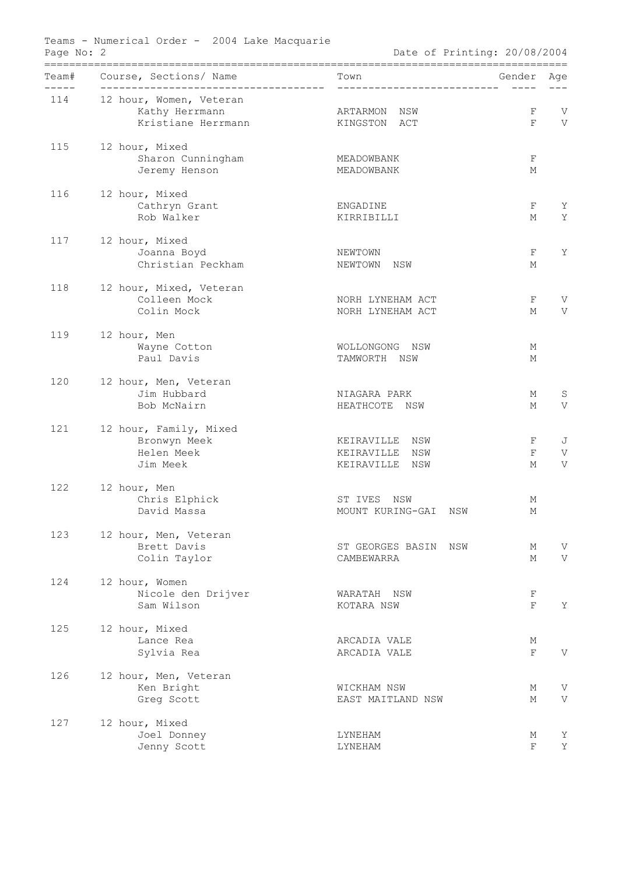| Page No: 2 | Teams - Numerical Order - 2004 Lake Macquarie                          | Date of Printing: 20/08/2004                                |                   |             |
|------------|------------------------------------------------------------------------|-------------------------------------------------------------|-------------------|-------------|
| ------     | Team# Course, Sections/ Name<br>-------------------------------------- |                                                             | Gender            | Age         |
| 114        | 12 hour, Women, Veteran<br>Kathy Herrmann<br>Kristiane Herrmann        | ARTARMON NSW<br>KINGSTON ACT                                | F<br>$\mathbf{F}$ | V<br>V      |
| 115        | 12 hour, Mixed<br>Sharon Cunningham<br>Jeremy Henson                   | MEADOWBANK<br>MEADOWBANK                                    | F<br>М            |             |
| 116        | 12 hour, Mixed<br>Cathryn Grant<br>Rob Walker                          | ENGADINE<br>KIRRIBILLI                                      | F<br>М            | Υ<br>Y      |
| 117        | 12 hour, Mixed<br>Joanna Boyd<br>Christian Peckham                     | NEWTOWN<br>NEWTOWN NSW                                      | F<br>М            | Y           |
| 118        | 12 hour, Mixed, Veteran<br>Colleen Mock<br>Colin Mock                  | NORH LYNEHAM ACT<br>NORH LYNEHAM ACT                        | F<br>М            | V<br>V      |
| 119        | 12 hour, Men<br>Wayne Cotton<br>Paul Davis                             | WOLLONGONG NSW<br>TAMWORTH NSW                              | М<br>М            |             |
| 120        | 12 hour, Men, Veteran<br>Jim Hubbard<br>Bob McNairn                    | NIAGARA PARK<br>HEATHCOTE NSW                               | М<br>М            | S<br>V      |
| 121        | 12 hour, Family, Mixed<br>Bronwyn Meek<br>Helen Meek<br>Jim Meek       | KEIRAVILLE<br>NSW<br>KEIRAVILLE<br>NSW<br>KEIRAVILLE<br>NSW | F<br>$\rm F$<br>М | J<br>V<br>V |
| 122        | 12 hour, Men<br>Chris Elphick<br>David Massa                           | ST IVES NSW<br>MOUNT KURING-GAI NSW                         | М<br>М            |             |
| 123        | 12 hour, Men, Veteran<br>Brett Davis<br>Colin Taylor                   | ST GEORGES BASIN NSW<br>CAMBEWARRA                          | М<br>М            | V<br>V      |
| 124        | 12 hour, Women<br>Nicole den Drijver<br>Sam Wilson                     | WARATAH NSW<br>KOTARA NSW                                   | F<br>$\mathbf F$  | Y           |
| 125        | 12 hour, Mixed<br>Lance Rea<br>Sylvia Rea                              | ARCADIA VALE<br>ARCADIA VALE                                | М<br>F            | V           |
| 126        | 12 hour, Men, Veteran<br>Ken Bright<br>Greg Scott                      | WICKHAM NSW<br>EAST MAITLAND NSW                            | М<br>М            | V<br>V      |
| 127        | 12 hour, Mixed<br>Joel Donney<br>Jenny Scott                           | LYNEHAM<br>LYNEHAM                                          | М<br>F            | Υ<br>Υ      |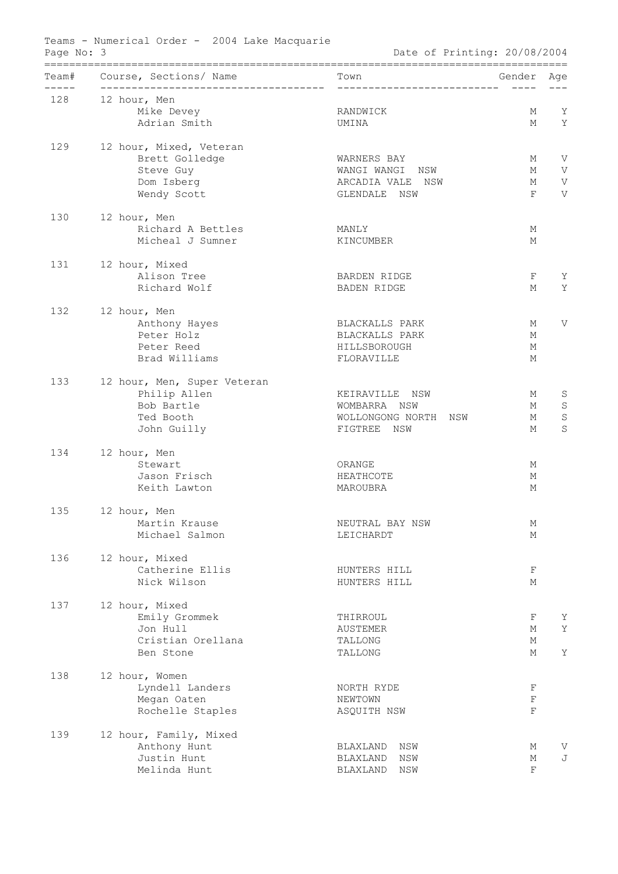| Team#         | Course, Sections/ Name                    | Town                         | Gender      | Age         |  |
|---------------|-------------------------------------------|------------------------------|-------------|-------------|--|
| ------<br>128 |                                           | ____________________________ | $- - - - -$ |             |  |
|               | 12 hour, Men<br>Mike Devey                | RANDWICK                     | М           | Y           |  |
|               | Adrian Smith                              | UMINA                        | М           | Y           |  |
|               |                                           |                              |             |             |  |
| 129           | 12 hour, Mixed, Veteran<br>Brett Golledge | WARNERS BAY                  | М           | V           |  |
|               | Steve Guy                                 | WANGI WANGI NSW              | М           | V           |  |
|               | Dom Isberg                                | ARCADIA VALE<br>NSW          | М           | V           |  |
|               | Wendy Scott                               | GLENDALE NSW                 | F           | V           |  |
| 130           | 12 hour, Men                              |                              |             |             |  |
|               | Richard A Bettles                         | MANLY                        | М           |             |  |
|               | Micheal J Sumner                          | KINCUMBER                    | М           |             |  |
| 131           | 12 hour, Mixed                            |                              |             |             |  |
|               | Alison Tree                               | BARDEN RIDGE                 | F           | Υ           |  |
|               | Richard Wolf                              | BADEN RIDGE                  | М           | Y           |  |
| 132           | 12 hour, Men                              |                              |             |             |  |
|               | Anthony Hayes                             | BLACKALLS PARK               | М           | V           |  |
|               | Peter Holz                                | BLACKALLS PARK               | М           |             |  |
|               | Peter Reed                                | HILLSBOROUGH                 | М           |             |  |
|               | Brad Williams                             | FLORAVILLE                   | М           |             |  |
| 133           | 12 hour, Men, Super Veteran               |                              |             |             |  |
|               | Philip Allen                              | KEIRAVILLE NSW               | М           | S           |  |
|               | Bob Bartle                                | WOMBARRA NSW                 | М           | $\mathbf S$ |  |
|               | Ted Booth                                 | WOLLONGONG NORTH NSW         | М           | $\mathbf S$ |  |
|               | John Guilly                               | FIGTREE NSW                  | М           | S           |  |
| 134           | 12 hour, Men                              |                              |             |             |  |
|               | Stewart                                   | ORANGE                       | М           |             |  |
|               | Jason Frisch                              | HEATHCOTE                    | М           |             |  |
|               | Keith Lawton                              | MAROUBRA                     | М           |             |  |
| 135           | 12 hour, Men                              |                              |             |             |  |
|               | Martin Krause                             | NEUTRAL BAY NSW              | М           |             |  |
|               | Michael Salmon                            | LEICHARDT                    | М           |             |  |
| 136           | 12 hour, Mixed                            |                              |             |             |  |
|               | Catherine Ellis<br>Nick Wilson            | HUNTERS HILL<br>HUNTERS HILL | F<br>М      |             |  |
|               |                                           |                              |             |             |  |
| 137           | 12 hour, Mixed                            |                              |             |             |  |
|               | Emily Grommek<br>Jon Hull                 | THIRROUL                     | F<br>М      | Υ<br>Y      |  |
|               | Cristian Orellana                         | AUSTEMER<br>TALLONG          | М           |             |  |
|               | Ben Stone                                 | TALLONG                      | М           | Y           |  |
| 138           | 12 hour, Women                            |                              |             |             |  |
|               | Lyndell Landers                           | NORTH RYDE                   | F           |             |  |
|               | Megan Oaten                               | NEWTOWN                      | $\mathbf F$ |             |  |
|               | Rochelle Staples                          | ASQUITH NSW                  | $\mathbf F$ |             |  |
| 139           | 12 hour, Family, Mixed                    |                              |             |             |  |
|               | Anthony Hunt                              | BLAXLAND<br>NSW              | М           | V           |  |
|               | Justin Hunt                               | NSW<br>BLAXLAND              | М           | J           |  |
|               | Melinda Hunt                              | BLAXLAND<br>NSW              | F           |             |  |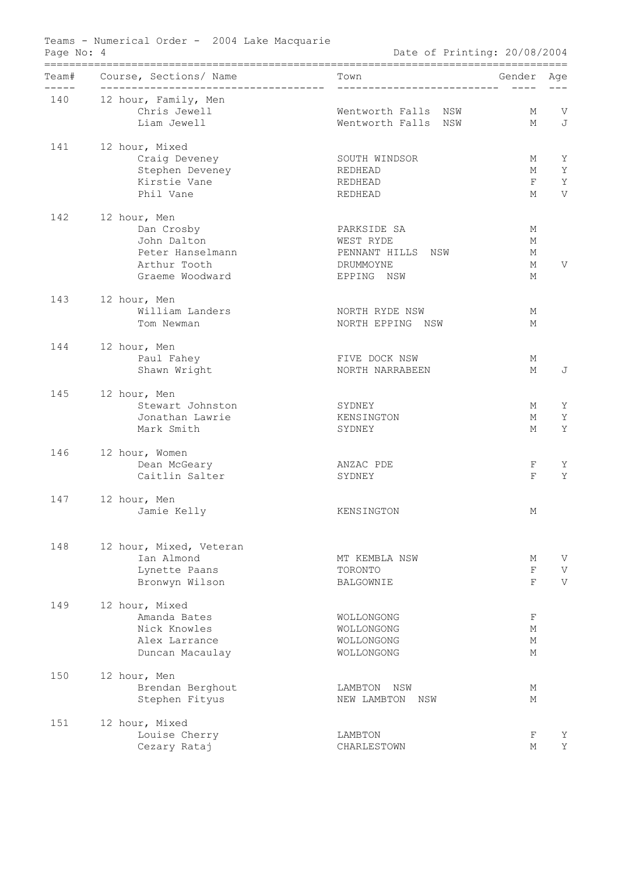| Page No: 4 | Teams - Numerical Order - 2004 Lake Macquarie                                                    | Date of Printing: 20/08/2004                                             |                       |                  |
|------------|--------------------------------------------------------------------------------------------------|--------------------------------------------------------------------------|-----------------------|------------------|
| ------     | Team# Course, Sections/ Name<br>--------------------------------------                           |                                                                          | Gender                | Age              |
| 140        | 12 hour, Family, Men<br>Chris Jewell<br>Liam Jewell                                              | Wentworth Falls NSW<br>Wentworth Falls NSW                               | М<br>М                | $\mathbf V$<br>J |
| 141        | 12 hour, Mixed<br>Craig Deveney<br>Stephen Deveney<br>Kirstie Vane                               | SOUTH WINDSOR<br>REDHEAD<br>REDHEAD                                      | М<br>М<br>F           | Υ<br>Y<br>Υ      |
|            | Phil Vane                                                                                        | REDHEAD                                                                  | М                     | V                |
| 142        | 12 hour, Men<br>Dan Crosby<br>John Dalton<br>Peter Hanselmann<br>Arthur Tooth<br>Graeme Woodward | PARKSIDE SA<br>WEST RYDE<br>PENNANT HILLS NSW<br>DRUMMOYNE<br>EPPING NSW | М<br>М<br>М<br>М<br>М | V                |
| 143        | 12 hour, Men<br>William Landers<br>Tom Newman                                                    | NORTH RYDE NSW<br>NORTH EPPING NSW                                       | М<br>М                |                  |
| 144        | 12 hour, Men<br>Paul Fahey<br>Shawn Wright                                                       | FIVE DOCK NSW<br>NORTH NARRABEEN                                         | М<br>М                | J                |
| 145        | 12 hour, Men<br>Stewart Johnston<br>Jonathan Lawrie<br>Mark Smith                                | SYDNEY<br>KENSINGTON<br>SYDNEY                                           | М<br>М<br>М           | Υ<br>Y<br>Y      |
| 146        | 12 hour, Women<br>Dean McGeary<br>Caitlin Salter                                                 | ANZAC PDE<br>SYDNEY                                                      | F<br>F                | Υ<br>Y           |
| 147        | 12 hour, Men<br>Jamie Kelly                                                                      | KENSINGTON                                                               | М                     |                  |
| 148        | 12 hour, Mixed, Veteran<br>Ian Almond<br>Lynette Paans<br>Bronwyn Wilson                         | MT KEMBLA NSW<br>TORONTO<br>BALGOWNIE                                    | М<br>$\mathbf F$<br>F | V<br>V<br>V      |
| 149        | 12 hour, Mixed<br>Amanda Bates<br>Nick Knowles<br>Alex Larrance<br>Duncan Macaulay               | WOLLONGONG<br>WOLLONGONG<br>WOLLONGONG<br>WOLLONGONG                     | F<br>М<br>М<br>М      |                  |
| 150        | 12 hour, Men<br>Brendan Berghout<br>Stephen Fityus                                               | LAMBTON NSW<br>NEW LAMBTON<br>NSW                                        | М<br>М                |                  |
| 151        | 12 hour, Mixed<br>Louise Cherry<br>Cezary Rataj                                                  | LAMBTON<br>CHARLESTOWN                                                   | F<br>М                | Υ<br>Y           |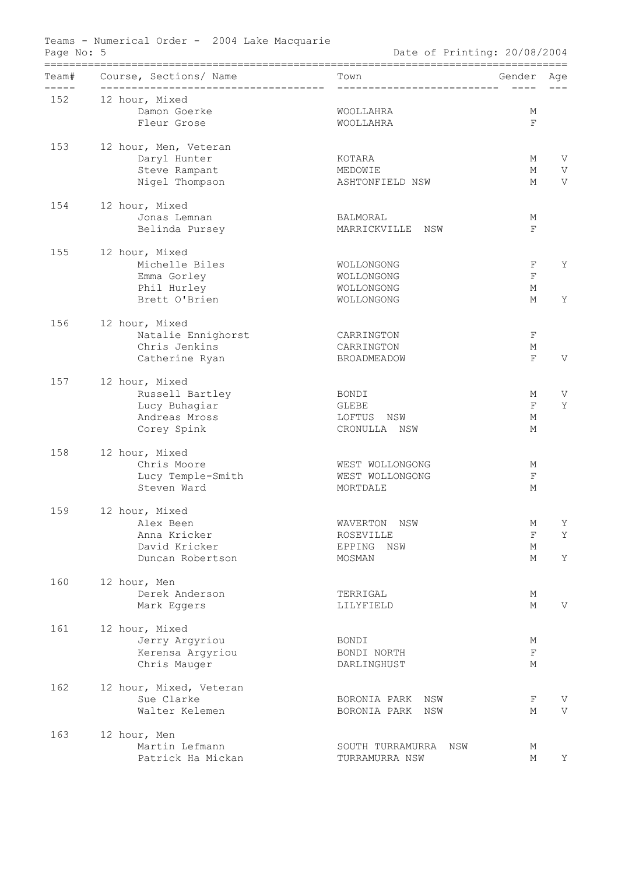|                  | Team# Course, Sections/ Name                             | Town                          | Gender      | Age |
|------------------|----------------------------------------------------------|-------------------------------|-------------|-----|
| $- - - -$<br>152 | --------------------------------------<br>12 hour, Mixed | _____________________________ |             |     |
|                  | Damon Goerke                                             | WOOLLAHRA                     | М           |     |
|                  | Fleur Grose                                              | WOOLLAHRA                     | $\mathbf F$ |     |
|                  |                                                          |                               |             |     |
| 153              | 12 hour, Men, Veteran                                    |                               |             |     |
|                  | Daryl Hunter                                             | KOTARA                        | М           | V   |
|                  | Steve Rampant                                            | MEDOWIE                       | М           | V   |
|                  | Nigel Thompson                                           | ASHTONFIELD NSW               | М           | V   |
| 154              | 12 hour, Mixed                                           |                               |             |     |
|                  | Jonas Lemnan                                             | BALMORAL                      | М           |     |
|                  | Belinda Pursey                                           | MARRICKVILLE NSW              | F           |     |
|                  |                                                          |                               |             |     |
| 155              | 12 hour, Mixed                                           |                               |             |     |
|                  | Michelle Biles                                           | WOLLONGONG                    | $\rm F$     | Y   |
|                  | Emma Gorley                                              | WOLLONGONG                    | $\mathbf F$ |     |
|                  | Phil Hurley<br>Brett O'Brien                             | WOLLONGONG                    | М           |     |
|                  |                                                          | WOLLONGONG                    | М           | Y   |
| 156              | 12 hour, Mixed                                           |                               |             |     |
|                  | Natalie Ennighorst                                       | CARRINGTON                    | F           |     |
|                  | Chris Jenkins                                            | CARRINGTON                    | М           |     |
|                  | Catherine Ryan                                           | BROADMEADOW                   | F           | V   |
| 157              | 12 hour, Mixed                                           |                               |             |     |
|                  | Russell Bartley                                          | BONDI                         | М           | V   |
|                  | Lucy Buhagiar                                            | GLEBE                         | $\mathbf F$ | Y   |
|                  | Andreas Mross                                            | LOFTUS NSW                    | М           |     |
|                  | Corey Spink                                              | CRONULLA NSW                  | М           |     |
|                  |                                                          |                               |             |     |
| 158              | 12 hour, Mixed<br>Chris Moore                            | WEST WOLLONGONG               | М           |     |
|                  | Lucy Temple-Smith                                        | WEST WOLLONGONG               | F           |     |
|                  | Steven Ward                                              | MORTDALE                      | М           |     |
|                  |                                                          |                               |             |     |
| 159              | 12 hour, Mixed                                           |                               |             |     |
|                  | Alex Been                                                | WAVERTON NSW                  | М           | Υ   |
|                  | Anna Kricker                                             | ROSEVILLE                     | F           | Y   |
|                  | David Kricker                                            | EPPING<br>NSW                 | М           |     |
|                  | Duncan Robertson                                         | MOSMAN                        | М           | Y   |
| 160              | 12 hour, Men                                             |                               |             |     |
|                  | Derek Anderson                                           | TERRIGAL                      | М           |     |
|                  | Mark Eggers                                              | LILYFIELD                     | М           | V   |
| 161              |                                                          |                               |             |     |
|                  | 12 hour, Mixed<br>Jerry Argyriou                         | BONDI                         | М           |     |
|                  | Kerensa Argyriou                                         | BONDI NORTH                   | F           |     |
|                  | Chris Mauger                                             | DARLINGHUST                   | М           |     |
|                  |                                                          |                               |             |     |
| 162              | 12 hour, Mixed, Veteran                                  |                               |             |     |
|                  | Sue Clarke                                               | BORONIA PARK<br>NSW           | F           | V   |
|                  | Walter Kelemen                                           | BORONIA PARK<br>NSW           | М           | V   |
| 163              | 12 hour, Men                                             |                               |             |     |
|                  | Martin Lefmann                                           | SOUTH TURRAMURRA NSW          | М           |     |
|                  | Patrick Ha Mickan                                        | TURRAMURRA NSW                | М           | Υ   |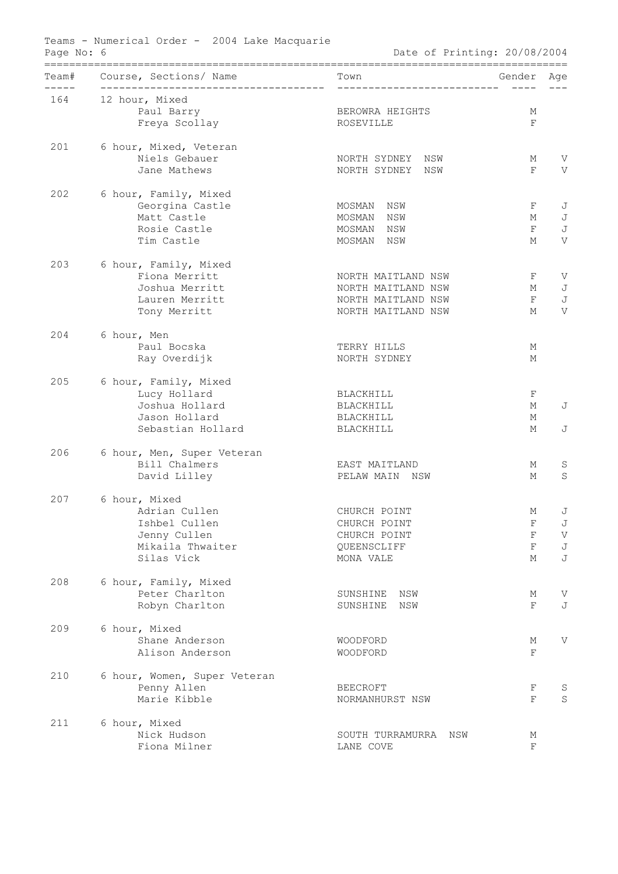| Team# | Course, Sections/ Name<br>---------------- | Town<br>_____________________________ | Gender       | Age     |
|-------|--------------------------------------------|---------------------------------------|--------------|---------|
| 164   | _________________<br>12 hour, Mixed        |                                       | $- - - - -$  |         |
|       | Paul Barry                                 | BEROWRA HEIGHTS                       | М            |         |
|       | Freya Scollay                              | ROSEVILLE                             | $\mathbf F$  |         |
| 201   | 6 hour, Mixed, Veteran                     |                                       |              |         |
|       | Niels Gebauer                              | NORTH SYDNEY<br>NSW                   | М            | V       |
|       | Jane Mathews                               | NORTH SYDNEY<br>NSW                   | $\mathbf{F}$ | V       |
| 202   | 6 hour, Family, Mixed                      |                                       |              |         |
|       | Georgina Castle                            | MOSMAN<br>NSW                         | F            | J       |
|       | Matt Castle                                | MOSMAN<br>NSW                         | М            | J       |
|       | Rosie Castle                               | MOSMAN<br>NSW                         | $\mathbf F$  | J       |
|       | Tim Castle                                 | MOSMAN<br>NSW                         | М            | V       |
| 203   | 6 hour, Family, Mixed                      |                                       |              |         |
|       | Fiona Merritt                              | NORTH MAITLAND NSW                    | F            | V       |
|       | Joshua Merritt                             | NORTH MAITLAND NSW                    | М            | J       |
|       | Lauren Merritt                             | NORTH MAITLAND NSW                    | $\mathbf F$  | J       |
|       | Tony Merritt                               | NORTH MAITLAND NSW                    | М            | V       |
| 204   | 6 hour, Men                                |                                       |              |         |
|       | Paul Bocska                                | TERRY HILLS                           | М            |         |
|       | Ray Overdijk                               | NORTH SYDNEY                          | М            |         |
| 205   | 6 hour, Family, Mixed                      |                                       |              |         |
|       | Lucy Hollard                               | BLACKHILL                             | F            |         |
|       | Joshua Hollard                             | BLACKHILL                             | М            | J       |
|       | Jason Hollard                              | BLACKHILL                             | М            |         |
|       | Sebastian Hollard                          | BLACKHILL                             | М            | J       |
| 206   | 6 hour, Men, Super Veteran                 |                                       |              |         |
|       | Bill Chalmers                              | EAST MAITLAND                         | М            | S       |
|       | David Lilley                               | PELAW MAIN<br>NSW                     | М            | S       |
| 207   | 6 hour, Mixed                              |                                       |              |         |
|       | Adrian Cullen                              | CHURCH POINT                          | М            | J       |
|       | Ishbel Cullen                              | CHURCH POINT                          | F            | J       |
|       | Jenny Cullen                               | CHURCH POINT                          | $\mathbf F$  | V       |
|       | Mikaila Thwaiter                           | QUEENSCLIFF                           | $\mathbf F$  | J       |
|       | Silas Vick                                 | MONA VALE                             | М            | J       |
| 208   | 6 hour, Family, Mixed                      |                                       |              |         |
|       | Peter Charlton                             | SUNSHINE<br>NSW                       | М            | V       |
|       | Robyn Charlton                             | SUNSHINE<br>NSW                       | F            | J       |
| 209   | 6 hour, Mixed                              |                                       |              |         |
|       | Shane Anderson                             | WOODFORD                              | М            | V       |
|       | Alison Anderson                            | WOODFORD                              | $\mathbf F$  |         |
| 210   | 6 hour, Women, Super Veteran               |                                       |              |         |
|       | Penny Allen                                | <b>BEECROFT</b>                       | F            | S       |
|       | Marie Kibble                               | NORMANHURST NSW                       | $\mathbf F$  | $\rm S$ |
| 211   | 6 hour, Mixed                              |                                       |              |         |
|       | Nick Hudson                                | SOUTH TURRAMURRA<br>NSW               | М            |         |
|       | Fiona Milner                               | LANE COVE                             | F            |         |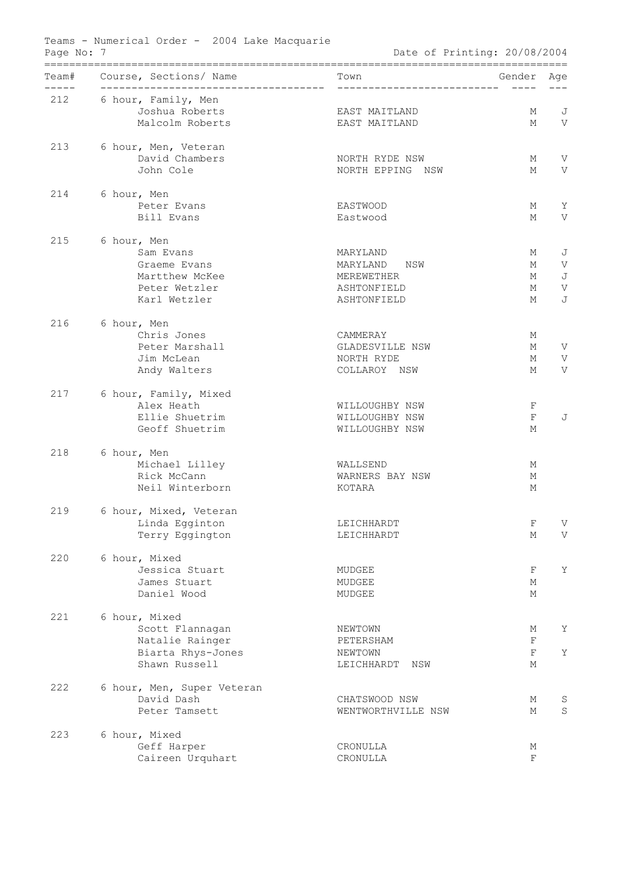| Team# | Course, Sections/ Name                                        | Town                         | Gender      | Age |
|-------|---------------------------------------------------------------|------------------------------|-------------|-----|
| 212   | --------------------------------------<br>6 hour, Family, Men | ____________________________ | $- - - - -$ |     |
|       | Joshua Roberts                                                | EAST MAITLAND                | М           | J   |
|       | Malcolm Roberts                                               | EAST MAITLAND                | М           | V   |
|       |                                                               |                              |             |     |
| 213   | 6 hour, Men, Veteran                                          |                              |             |     |
|       | David Chambers                                                | NORTH RYDE NSW               | М           | V   |
|       | John Cole                                                     | NORTH EPPING NSW             | М           | V   |
| 214   | 6 hour, Men                                                   |                              |             |     |
|       | Peter Evans                                                   | EASTWOOD                     | М           | Υ   |
|       | Bill Evans                                                    | Eastwood                     | М           | V   |
| 215   | 6 hour, Men                                                   |                              |             |     |
|       | Sam Evans                                                     | MARYLAND                     | М           | J   |
|       | Graeme Evans                                                  | MARYLAND<br>NSW              | М           | V   |
|       | Martthew McKee                                                | MEREWETHER                   | М           | J   |
|       | Peter Wetzler                                                 | ASHTONFIELD                  | М           | V   |
|       | Karl Wetzler                                                  | ASHTONFIELD                  | М           | J   |
| 216   | 6 hour, Men                                                   |                              |             |     |
|       | Chris Jones                                                   | CAMMERAY                     | М           |     |
|       | Peter Marshall                                                | GLADESVILLE NSW              | М           | V   |
|       | Jim McLean                                                    | NORTH RYDE                   | М           | V   |
|       | Andy Walters                                                  | COLLAROY NSW                 | М           | V   |
| 217   | 6 hour, Family, Mixed                                         |                              |             |     |
|       | Alex Heath                                                    | <b>WILLOUGHBY NSW</b>        | F           |     |
|       | Ellie Shuetrim                                                | <b>WILLOUGHBY NSW</b>        | $\mathbf F$ | J   |
|       | Geoff Shuetrim                                                | <b>WILLOUGHBY NSW</b>        | М           |     |
| 218   | 6 hour, Men                                                   |                              |             |     |
|       | Michael Lilley                                                | WALLSEND                     | М           |     |
|       | Rick McCann                                                   | WARNERS BAY NSW              | М           |     |
|       | Neil Winterborn                                               | KOTARA                       | М           |     |
| 219   | 6 hour, Mixed, Veteran                                        |                              |             |     |
|       | Linda Egginton                                                | LEICHHARDT                   | F           | V   |
|       | Terry Eggington                                               | LEICHHARDT                   | М           | V   |
| 220   | 6 hour, Mixed                                                 |                              |             |     |
|       | Jessica Stuart                                                | MUDGEE                       | F           | Υ   |
|       | James Stuart                                                  | MUDGEE                       | М           |     |
|       | Daniel Wood                                                   | MUDGEE                       | М           |     |
| 221   | 6 hour, Mixed                                                 |                              |             |     |
|       | Scott Flannagan                                               | NEWTOWN                      | М           | Υ   |
|       | Natalie Rainger                                               | PETERSHAM                    | $\mathbf F$ |     |
|       | Biarta Rhys-Jones                                             | NEWTOWN                      | $\mathbf F$ | Y   |
|       | Shawn Russell                                                 | LEICHHARDT<br>NSW            | М           |     |
| 222   | 6 hour, Men, Super Veteran                                    |                              |             |     |
|       | David Dash                                                    | CHATSWOOD NSW                | М           | S   |
|       | Peter Tamsett                                                 | WENTWORTHVILLE NSW           | М           | S   |
| 223   | 6 hour, Mixed                                                 |                              |             |     |
|       | Geff Harper                                                   | CRONULLA                     | М           |     |
|       | Caireen Urquhart                                              | CRONULLA                     | F           |     |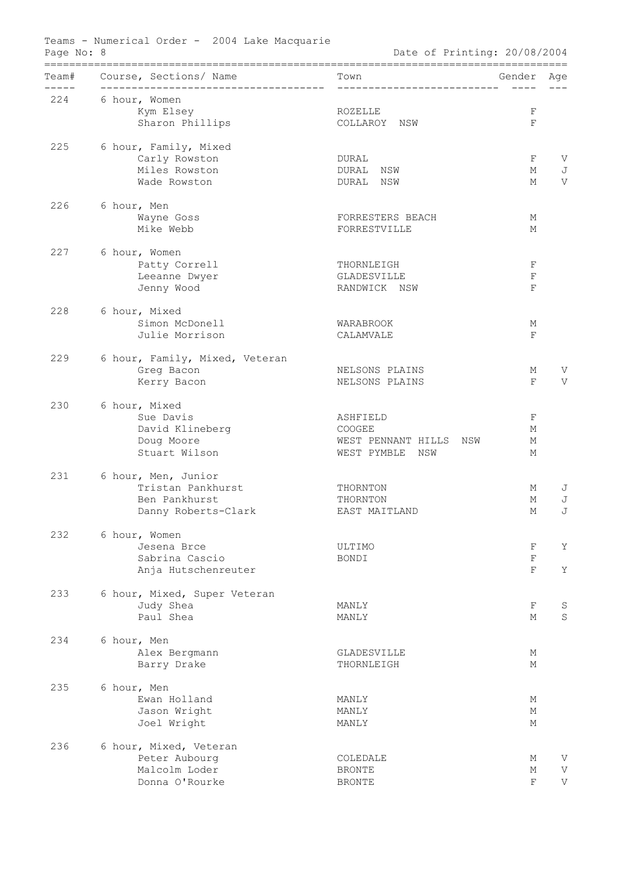|               | Team# Course, Sections/ Name                            | Town                         | Gender                     | Age     |
|---------------|---------------------------------------------------------|------------------------------|----------------------------|---------|
| ------<br>224 | --------------------------------------<br>6 hour, Women | ____________________________ | $- - - - -$                |         |
|               | Kym Elsey                                               | ROZELLE                      | F                          |         |
|               | Sharon Phillips                                         | COLLAROY NSW                 | $\mathbf F$                |         |
| 225           | 6 hour, Family, Mixed                                   |                              |                            |         |
|               | Carly Rowston                                           | DURAL                        | F                          | V       |
|               | Miles Rowston                                           | DURAL NSW                    | М                          | J       |
|               | Wade Rowston                                            | DURAL NSW                    | М                          | V       |
| 226           | 6 hour, Men                                             |                              |                            |         |
|               | Wayne Goss                                              | FORRESTERS BEACH             | М                          |         |
|               | Mike Webb                                               | FORRESTVILLE                 | М                          |         |
| 227           | 6 hour, Women                                           |                              |                            |         |
|               | Patty Correll                                           | THORNLEIGH                   | $\mathbf F$                |         |
|               | Leeanne Dwyer                                           | GLADESVILLE                  | $\mathbf F$<br>$\mathbf F$ |         |
|               | Jenny Wood                                              | RANDWICK NSW                 |                            |         |
| 228           | 6 hour, Mixed                                           |                              |                            |         |
|               | Simon McDonell<br>Julie Morrison                        | WARABROOK<br>CALAMVALE       | М<br>$\mathbf F$           |         |
|               |                                                         |                              |                            |         |
| 229           | 6 hour, Family, Mixed, Veteran                          |                              |                            |         |
|               | Greg Bacon                                              | NELSONS PLAINS               | М<br>$\mathbf{F}$          | V<br>V  |
|               | Kerry Bacon                                             | NELSONS PLAINS               |                            |         |
| 230           | 6 hour, Mixed                                           |                              |                            |         |
|               | Sue Davis<br>David Klineberg                            | ASHFIELD<br>COOGEE           | F<br>М                     |         |
|               | Doug Moore                                              | WEST PENNANT HILLS NSW       | М                          |         |
|               | Stuart Wilson                                           | WEST PYMBLE NSW              | М                          |         |
| 231           | 6 hour, Men, Junior                                     |                              |                            |         |
|               | Tristan Pankhurst                                       | THORNTON                     | М                          | J       |
|               | Ben Pankhurst                                           | THORNTON                     | М                          | J       |
|               | Danny Roberts-Clark                                     | EAST MAITLAND                | М                          | J       |
| 232           | 6 hour, Women                                           |                              |                            |         |
|               | Jesena Brce                                             | ULTIMO                       | F                          | Y       |
|               | Sabrina Cascio                                          | BONDI                        | $\mathbf F$                |         |
|               | Anja Hutschenreuter                                     |                              | F                          | Υ       |
| 233           | 6 hour, Mixed, Super Veteran                            |                              |                            |         |
|               | Judy Shea                                               | MANLY                        | F                          | S       |
|               | Paul Shea                                               | MANLY                        | М                          | $\rm S$ |
| 234           | 6 hour, Men                                             |                              |                            |         |
|               | Alex Bergmann                                           | GLADESVILLE                  | М                          |         |
|               | Barry Drake                                             | THORNLEIGH                   | М                          |         |
| 235           | 6 hour, Men                                             |                              |                            |         |
|               | Ewan Holland                                            | MANLY                        | М                          |         |
|               | Jason Wright                                            | MANLY                        | М                          |         |
|               | Joel Wright                                             | MANLY                        | М                          |         |
| 236           | 6 hour, Mixed, Veteran                                  |                              |                            |         |
|               | Peter Aubourg                                           | COLEDALE                     | М                          | V       |
|               | Malcolm Loder                                           | <b>BRONTE</b>                | М<br>F                     | V<br>V  |
|               | Donna O'Rourke                                          | <b>BRONTE</b>                |                            |         |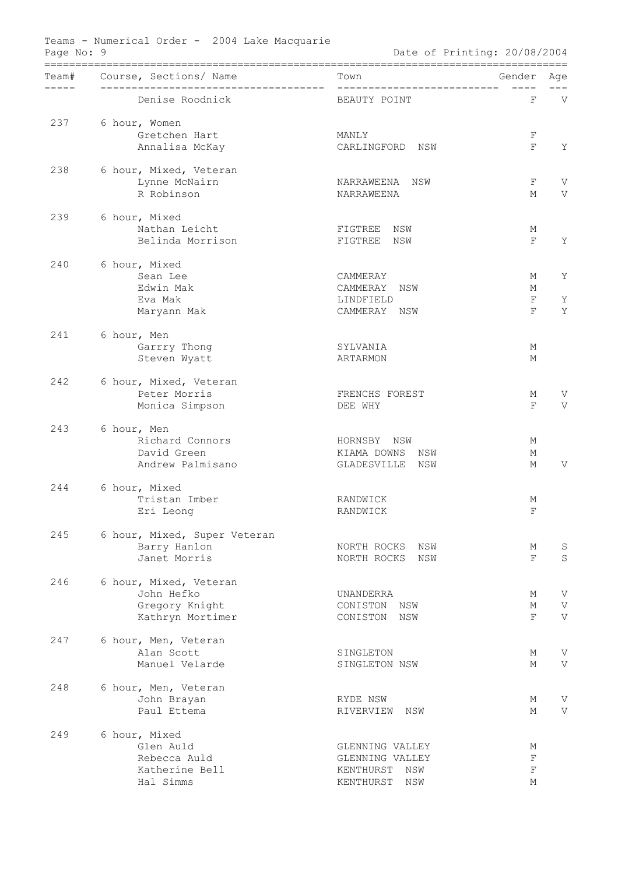|        | Team# Course, Sections/ Name       | Town                                     | Gender           | Age    |
|--------|------------------------------------|------------------------------------------|------------------|--------|
| ------ | Denise Roodnick                    | BEAUTY POINT                             | F                | V      |
| 237    | 6 hour, Women                      |                                          |                  |        |
|        | Gretchen Hart                      | MANLY                                    | F                |        |
|        | Annalisa McKay                     | CARLINGFORD NSW                          | F                | Y      |
| 238    | 6 hour, Mixed, Veteran             |                                          |                  |        |
|        | Lynne McNairn                      | NARRAWEENA<br>NSW                        | F                | V      |
|        | R Robinson                         | NARRAWEENA                               | М                | V      |
| 239    | 6 hour, Mixed                      |                                          |                  |        |
|        | Nathan Leicht                      | FIGTREE NSW                              | М                |        |
|        | Belinda Morrison                   | FIGTREE NSW                              | F                | Y      |
| 240    | 6 hour, Mixed                      |                                          |                  |        |
|        | Sean Lee                           | CAMMERAY                                 | М                | Υ      |
|        | Edwin Mak<br>Eva Mak               | CAMMERAY<br>NSW<br>LINDFIELD             | М<br>F           | Υ      |
|        | Maryann Mak                        | CAMMERAY NSW                             | $\rm F$          | Y      |
|        |                                    |                                          |                  |        |
| 241    | 6 hour, Men                        |                                          |                  |        |
|        | Garrry Thong<br>Steven Wyatt       | SYLVANIA<br>ARTARMON                     | М<br>М           |        |
|        |                                    |                                          |                  |        |
| 242    | 6 hour, Mixed, Veteran             |                                          |                  |        |
|        | Peter Morris                       | FRENCHS FOREST                           | М                | V      |
|        | Monica Simpson                     | DEE WHY                                  | $\rm F$          | V      |
| 243    | 6 hour, Men                        |                                          |                  |        |
|        | Richard Connors                    | HORNSBY NSW                              | М                |        |
|        | David Green<br>Andrew Palmisano    | KIAMA DOWNS NSW<br>GLADESVILLE NSW       | М<br>М           | V      |
|        |                                    |                                          |                  |        |
| 244    | 6 hour, Mixed                      |                                          |                  |        |
|        | Tristan Imber                      | RANDWICK<br>RANDWICK                     | М<br>$\mathbf F$ |        |
|        | Eri Leong                          |                                          |                  |        |
| 245    | 6 hour, Mixed, Super Veteran       |                                          |                  |        |
|        | Barry Hanlon<br>Janet Morris       | NORTH ROCKS<br>NSW<br>NORTH ROCKS<br>NSW | М<br>F           | S<br>S |
|        |                                    |                                          |                  |        |
| 246    | 6 hour, Mixed, Veteran             |                                          |                  |        |
|        | John Hefko                         | UNANDERRA                                | М                | V      |
|        | Gregory Knight<br>Kathryn Mortimer | CONISTON<br>NSW<br>CONISTON<br>NSW       | М<br>F           | V<br>V |
|        |                                    |                                          |                  |        |
| 247    | 6 hour, Men, Veteran               |                                          |                  |        |
|        | Alan Scott                         | SINGLETON                                | М                | V      |
|        | Manuel Velarde                     | SINGLETON NSW                            | М                | V      |
| 248    | 6 hour, Men, Veteran               |                                          |                  |        |
|        | John Brayan                        | RYDE NSW                                 | М                | V      |
|        | Paul Ettema                        | RIVERVIEW<br>NSW                         | М                | V      |
| 249    | 6 hour, Mixed                      |                                          |                  |        |
|        | Glen Auld                          | GLENNING VALLEY                          | М                |        |
|        | Rebecca Auld                       | GLENNING VALLEY                          | $\mathbf F$      |        |
|        | Katherine Bell<br>Hal Simms        | KENTHURST<br>NSW<br>NSW<br>KENTHURST     | $\mathbf F$<br>М |        |
|        |                                    |                                          |                  |        |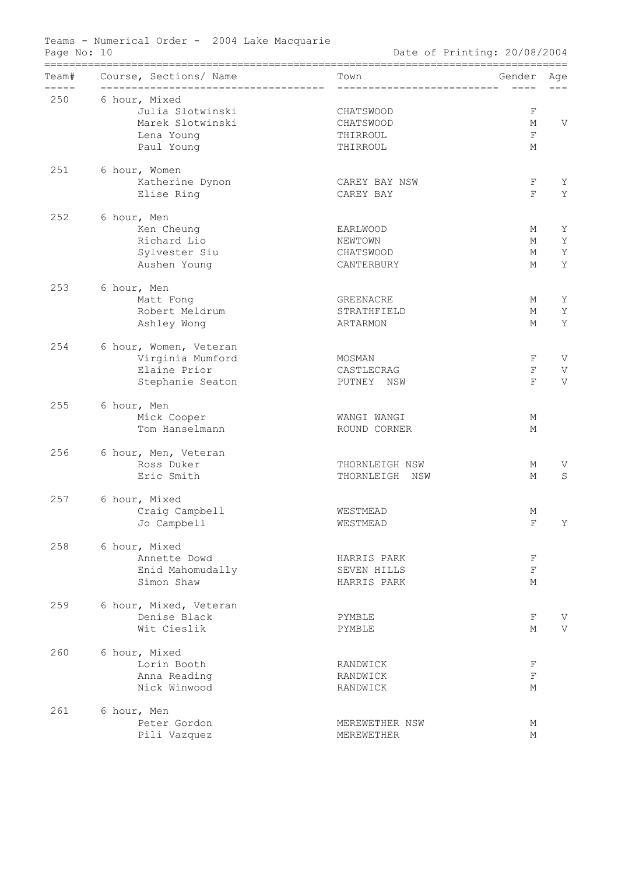|     | ==================                                                    |                                      |             |   |
|-----|-----------------------------------------------------------------------|--------------------------------------|-------------|---|
|     | Team# Course, Sections/ Name<br>------------------------------------- | Town<br>____________________________ | Gender Age  |   |
| 250 | 6 hour, Mixed                                                         |                                      |             |   |
|     | Julia Slotwinski                                                      | CHATSWOOD                            | $\mathbf F$ |   |
|     | Marek Slotwinski                                                      | CHATSWOOD                            | М           | V |
|     | Lena Young                                                            | THIRROUL                             | $\mathbf F$ |   |
|     | Paul Young                                                            | THIRROUL                             | М           |   |
| 251 | 6 hour, Women                                                         |                                      |             |   |
|     | Katherine Dynon                                                       | CAREY BAY NSW                        | F           | Υ |
|     | Elise Ring                                                            | CAREY BAY                            | F           | Y |
| 252 | 6 hour, Men                                                           |                                      |             |   |
|     | Ken Cheung                                                            | EARLWOOD                             | М           | Υ |
|     | Richard Lio                                                           | NEWTOWN                              | М           | Y |
|     | Sylvester Siu                                                         | CHATSWOOD                            | М           | Y |
|     | Aushen Young                                                          | CANTERBURY                           | М           | Y |
| 253 | 6 hour, Men                                                           |                                      |             |   |
|     | Matt Fong                                                             | GREENACRE                            | М           | Υ |
|     | Robert Meldrum                                                        | STRATHFIELD                          | М           | Y |
|     | Ashley Wong                                                           | ARTARMON                             | М           | Y |
| 254 | 6 hour, Women, Veteran                                                |                                      |             |   |
|     | Virginia Mumford                                                      | MOSMAN                               | F           | V |
|     | Elaine Prior                                                          | CASTLECRAG                           | $\mathbf F$ | V |
|     | Stephanie Seaton                                                      | PUTNEY NSW                           | F           | V |
| 255 | 6 hour, Men                                                           |                                      |             |   |
|     | Mick Cooper                                                           | WANGI WANGI                          | М           |   |
|     | Tom Hanselmann                                                        | ROUND CORNER                         | М           |   |
| 256 | 6 hour, Men, Veteran                                                  |                                      |             |   |
|     | Ross Duker                                                            | THORNLEIGH NSW                       | М           | V |
|     | Eric Smith                                                            | THORNLEIGH NSW                       | М           | S |
| 257 | 6 hour, Mixed                                                         |                                      |             |   |
|     | Craig Campbell                                                        | WESTMEAD                             | Μ           |   |
|     | Jo Campbell                                                           | WESTMEAD                             | $\mathbf F$ | Y |
| 258 | 6 hour, Mixed                                                         |                                      |             |   |
|     | Annette Dowd                                                          | HARRIS PARK                          | F           |   |
|     | Enid Mahomudally                                                      | SEVEN HILLS                          | $\mathbf F$ |   |
|     | Simon Shaw                                                            | HARRIS PARK                          | М           |   |
| 259 | 6 hour, Mixed, Veteran                                                |                                      |             |   |
|     | Denise Black                                                          | PYMBLE                               | F           | V |
|     | Wit Cieslik                                                           | PYMBLE                               | М           | V |
| 260 | 6 hour, Mixed                                                         |                                      |             |   |
|     | Lorin Booth                                                           | RANDWICK                             | F           |   |
|     | Anna Reading                                                          | RANDWICK                             | $\mathbf F$ |   |
|     | Nick Winwood                                                          | RANDWICK                             | М           |   |
| 261 | 6 hour, Men                                                           |                                      |             |   |
|     | Peter Gordon                                                          | MEREWETHER NSW                       | Μ           |   |
|     | Pili Vazquez                                                          | MEREWETHER                           | М           |   |